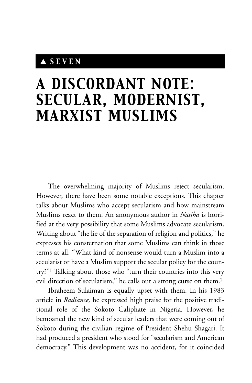## ▲ *SEVEN*

## *A DISCORDANT NOTE: SECULAR, MODERNIST, MARXIST MUSLIMS*

The overwhelming majority of Muslims reject secularism. However, there have been some notable exceptions. This chapter talks about Muslims who accept secularism and how mainstream Muslims react to them. An anonymous author in *Nasiha* is horrified at the very possibility that some Muslims advocate secularism. Writing about "the lie of the separation of religion and politics," he expresses his consternation that some Muslims can think in those terms at all. "What kind of nonsense would turn a Muslim into a secularist or have a Muslim support the secular policy for the country?"1 Talking about those who "turn their countries into this very evil direction of secularism," he calls out a strong curse on them.2

Ibraheem Sulaiman is equally upset with them. In his 1983 article in *Radiance,* he expressed high praise for the positive traditional role of the Sokoto Caliphate in Nigeria. However, he bemoaned the new kind of secular leaders that were coming out of Sokoto during the civilian regime of President Shehu Shagari. It had produced a president who stood for "secularism and American democracy." This development was no accident, for it coincided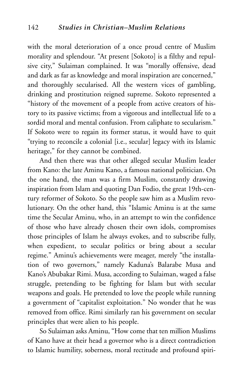with the moral deterioration of a once proud centre of Muslim morality and splendour. "At present [Sokoto] is a filthy and repulsive city," Sulaiman complained. It was "morally offensive, dead and dark as far as knowledge and moral inspiration are concerned," and thoroughly secularised. All the western vices of gambling, drinking and prostitution reigned supreme. Sokoto represented a "history of the movement of a people from active creators of history to its passive victims; from a vigorous and intellectual life to a sordid moral and mental confusion. From caliphate to secularism." If Sokoto were to regain its former status, it would have to quit "trying to reconcile a colonial [i.e., secular] legacy with its Islamic heritage," for they cannot be combined.

And then there was that other alleged secular Muslim leader from Kano: the late Aminu Kano, a famous national politician. On the one hand, the man was a firm Muslim, constantly drawing inspiration from Islam and quoting Dan Fodio, the great 19th-century reformer of Sokoto. So the people saw him as a Muslim revolutionary. On the other hand, this "Islamic Aminu is at the same time the Secular Aminu, who, in an attempt to win the confidence of those who have already chosen their own idols, compromises those principles of Islam he always evokes, and to subscribe fully, when expedient, to secular politics or bring about a secular regime." Aminu's achievements were meager, merely "the installation of two governors," namely Kaduna's Balarabe Musa and Kano's Abubakar Rimi. Musa, according to Sulaiman, waged a false struggle, pretending to be fighting for Islam but with secular weapons and goals. He pretended to love the people while running a government of "capitalist exploitation." No wonder that he was removed from office. Rimi similarly ran his government on secular principles that were alien to his people.

So Sulaiman asks Aminu, "How come that ten million Muslims of Kano have at their head a governor who is a direct contradiction to Islamic humility, soberness, moral rectitude and profound spiri-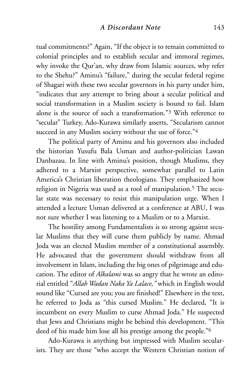tual commitments?" Again, "If the object is to remain committed to colonial principles and to establish secular and immoral regimes, why invoke the Qur'an, why draw from Islamic sources, why refer to the Shehu?" Aminu's "failure," during the secular federal regime of Shagari with these two secular governors in his party under him, "indicates that any attempt to bring about a secular political and social transformation in a Muslim society is bound to fail. Islam alone is the source of such a transformation."3 With reference to "secular" Turkey, Ado-Kurawa similarly asserts, "Secularism cannot succeed in any Muslim society without the use of force."4

The political party of Aminu and his governors also included the historian Yusufu Bala Usman and author-politician Lawan Danbazau. In line with Aminu's position, though Muslims, they adhered to a Marxist perspective, somewhat parallel to Latin America's Christian liberation theologians. They emphasized how religion in Nigeria was used as a tool of manipulation.<sup>5</sup> The secular state was necessary to resist this manipulation urge. When I attended a lecture Usman delivered at a conference at ABU, I was not sure whether I was listening to a Muslim or to a Marxist.

The hostility among Fundamentalists is so strong against secular Muslims that they will curse them publicly by name. Ahmad Joda was an elected Muslim member of a constitutional assembly. He advocated that the government should withdraw from all involvement in Islam, including the big ones of pilgrimage and education. The editor of *Alkalami* was so angry that he wrote an editorial entitled "*Allah Wadan Naka Ya Lalace,"* which in English would sound like "Cursed are you; you are finished!" Elsewhere in the text, he referred to Joda as "this cursed Muslim." He declared, "It is incumbent on every Muslim to curse Ahmad Joda." He suspected that Jews and Christians might be behind this development. "This deed of his made him lose all his prestige among the people."6

Ado-Kurawa is anything but impressed with Muslim secularists. They are those "who accept the Western Christian notion of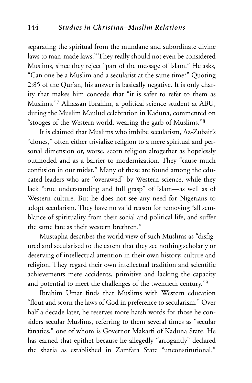separating the spiritual from the mundane and subordinate divine laws to man-made laws." They really should not even be considered Muslims, since they reject "part of the message of Islam." He asks, "Can one be a Muslim and a secularist at the same time?" Quoting 2:85 of the Qur'an, his answer is basically negative. It is only charity that makes him concede that "it is safer to refer to them as Muslims."7 Alhassan Ibrahim, a political science student at ABU, during the Muslim Maulud celebration in Kaduna, commented on "stooges of the Western world, wearing the garb of Muslims."8

It is claimed that Muslims who imbibe secularism, Az-Zubair's "clones," often either trivialize religion to a mere spiritual and personal dimension or, worse, scorn religion altogether as hopelessly outmoded and as a barrier to modernization. They "cause much confusion in our midst." Many of these are found among the educated leaders who are "overawed" by Western science, while they lack "true understanding and full grasp" of Islam—as well as of Western culture. But he does not see any need for Nigerians to adopt secularism. They have no valid reason for removing "all semblance of spirituality from their social and political life, and suffer the same fate as their western brethren."

Mustapha describes the world view of such Muslims as "disfigured and secularised to the extent that they see nothing scholarly or deserving of intellectual attention in their own history, culture and religion. They regard their own intellectual tradition and scientific achievements mere accidents, primitive and lacking the capacity and potential to meet the challenges of the twentieth century."9

Ibrahim Umar finds that Muslims with Western education "flout and scorn the laws of God in preference to secularism." Over half a decade later, he reserves more harsh words for those he considers secular Muslims, referring to them several times as "secular fanatics," one of whom is Governor Makarfi of Kaduna State. He has earned that epithet because he allegedly "arrogantly" declared the sharia as established in Zamfara State "unconstitutional."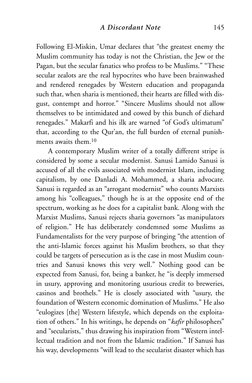Following El-Miskin, Umar declares that "the greatest enemy the Muslim community has today is not the Christian, the Jew or the Pagan, but the secular fanatics who profess to be Muslims." "These secular zealots are the real hypocrites who have been brainwashed and rendered renegades by Western education and propaganda such that, when sharia is mentioned, their hearts are filled with disgust, contempt and horror." "Sincere Muslims should not allow themselves to be intimidated and cowed by this bunch of diehard renegades." Makarfi and his ilk are warned "of God's ultimatum" that, according to the Qur'an, the full burden of eternal punishments awaits them.10

A contemporary Muslim writer of a totally different stripe is considered by some a secular modernist. Sanusi Lamido Sanusi is accused of all the evils associated with modernist Islam, including capitalism, by one Danladi A. Mohammed, a sharia advocate. Sanusi is regarded as an "arrogant modernist" who counts Marxists among his "colleagues," though he is at the opposite end of the spectrum, working as he does for a capitalist bank. Along with the Marxist Muslims, Sanusi rejects sharia governors "as manipulators of religion." He has deliberately condemned some Muslims as Fundamentalists for the very purpose of bringing "the attention of the anti-Islamic forces against his Muslim brothers, so that they could be targets of persecution as is the case in most Muslim countries and Sanusi knows this very well." Nothing good can be expected from Sanusi, for, being a banker, he "is deeply immersed in usury, approving and monitoring usurious credit to breweries, casinos and brothels." He is closely associated with "usury, the foundation of Western economic domination of Muslims." He also "eulogizes [the] Western lifestyle, which depends on the exploitation of others." In his writings, he depends on "*kafir* philosophers" and "secularists," thus drawing his inspiration from "Western intellectual tradition and not from the Islamic tradition." If Sanusi has his way, developments "will lead to the secularist disaster which has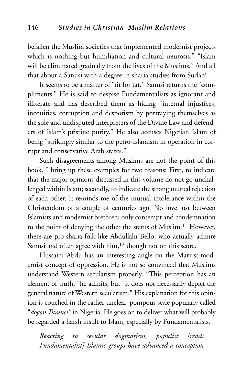befallen the Muslim societies that implemented modernist projects which is nothing but humiliation and cultural neurosis." "Islam will be eliminated gradually from the lives of the Muslims." And all that about a Sanusi with a degree in sharia studies from Sudan!

It seems to be a matter of "tit for tat." Sanusi returns the "compliments." He is said to despise Fundamentalists as ignorant and illiterate and has described them as hiding "internal injustices, inequities, corruption and despotism by portraying themselves as the sole and undisputed interpreters of the Divine Law and defenders of Islam's pristine purity." He also accuses Nigerian Islam of being "strikingly similar to the petro-Islamism in operation in corrupt and conservative Arab states."

Such disagreements among Muslims are not the point of this book. I bring up these examples for two reasons: First, to indicate that the major opinions discussed in this volume do not go unchallenged within Islam; secondly, to indicate the strong mutual rejection of each other. It reminds me of the mutual intolerance within the Christendom of a couple of centuries ago. No love lost between Islamists and modernist brethren; only contempt and condemnation to the point of denying the other the status of Muslim.11 However, there are pro-sharia folk like Abdullahi Bello, who actually admire Sanusi and often agree with him,<sup>12</sup> though not on this score.

Hussaini Abdu has an interesting angle on the Marxist-modernist concept of oppression. He is not so convinced that Muslims understand Western secularism properly. "This perception has an element of truth," he admits, but "it does not necessarily depict the general nature of Western secularism." His explanation for this opinion is couched in the rather unclear, pompous style popularly called "*dogon Turanci"* in Nigeria. He goes on to deliver what will probably be regarded a harsh insult to Islam, especially by Fundamentalists.

*Reacting to secular dogmatism, populist [read: Fundamentalist] Islamic groups have advanced a conception*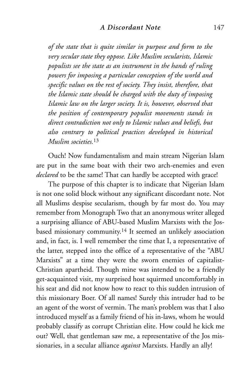*of the state that is quite similar in purpose and form to the very secular state they oppose. Like Muslim secularists, Islamic populists see the state as an instrument in the hands of ruling powers for imposing a particular conception of the world and specific values on the rest of society. They insist, therefore, that the Islamic state should be charged with the duty of imposing Islamic law on the larger society. It is, however, observed that the position of contemporary populist movements stands in direct contradiction not only to Islamic values and beliefs, but also contrary to political practices developed in historical Muslim societies.*<sup>13</sup>

Ouch! Now fundamentalism and main stream Nigerian Islam are put in the same boat with their two arch-enemies and even *declared* to be the same! That can hardly be accepted with grace!

The purpose of this chapter is to indicate that Nigerian Islam is not one solid block without any significant discordant note. Not all Muslims despise secularism, though by far most do. You may remember from Monograph Two that an anonymous writer alleged a surprising alliance of ABU-based Muslim Marxists with the Josbased missionary community.14 It seemed an unlikely association and, in fact, is. I well remember the time that I, a representative of the latter, stepped into the office of a representative of the "ABU Marxists" at a time they were the sworn enemies of capitalist-Christian apartheid. Though mine was intended to be a friendly get-acquainted visit, my surprised host squirmed uncomfortably in his seat and did not know how to react to this sudden intrusion of this missionary Boer. Of all names! Surely this intruder had to be an agent of the worst of vermin. The man's problem was that I also introduced myself as a family friend of his in-laws, whom he would probably classify as corrupt Christian elite. How could he kick me out? Well, that gentleman saw me, a representative of the Jos missionaries, in a secular alliance *against* Marxists. Hardly an ally!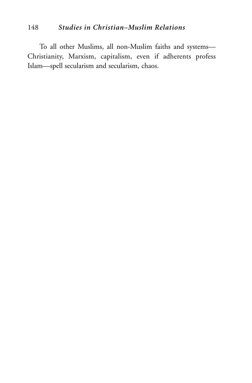## 148 *Studies in Christian–Muslim Relations*

To all other Muslims, all non-Muslim faiths and systems— Christianity, Marxism, capitalism, even if adherents profess Islam—spell secularism and secularism, chaos.